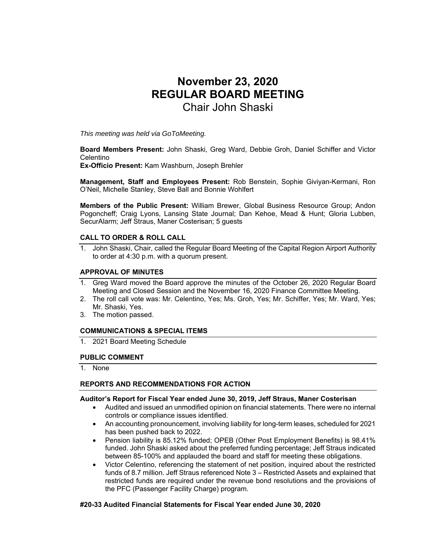# **November 23, 2020 REGULAR BOARD MEETING**  Chair John Shaski

*This meeting was held via GoToMeeting.* 

**Board Members Present:** John Shaski, Greg Ward, Debbie Groh, Daniel Schiffer and Victor Celentino

**Ex-Officio Present:** Kam Washburn, Joseph Brehler

**Management, Staff and Employees Present:** Rob Benstein, Sophie Giviyan-Kermani, Ron O'Neil, Michelle Stanley, Steve Ball and Bonnie Wohlfert

**Members of the Public Present:** William Brewer, Global Business Resource Group; Andon Pogoncheff; Craig Lyons, Lansing State Journal; Dan Kehoe, Mead & Hunt; Gloria Lubben, SecurAlarm; Jeff Straus, Maner Costerisan; 5 guests

## **CALL TO ORDER & ROLL CALL**

1. John Shaski, Chair, called the Regular Board Meeting of the Capital Region Airport Authority to order at 4:30 p.m. with a quorum present.

#### **APPROVAL OF MINUTES**

- 1. Greg Ward moved the Board approve the minutes of the October 26, 2020 Regular Board Meeting and Closed Session and the November 16, 2020 Finance Committee Meeting.
- 2. The roll call vote was: Mr. Celentino, Yes; Ms. Groh, Yes; Mr. Schiffer, Yes; Mr. Ward, Yes; Mr. Shaski, Yes.
- 3. The motion passed.

#### **COMMUNICATIONS & SPECIAL ITEMS**

1. 2021 Board Meeting Schedule

## **PUBLIC COMMENT**

1. None

## **REPORTS AND RECOMMENDATIONS FOR ACTION**

#### **Auditor's Report for Fiscal Year ended June 30, 2019, Jeff Straus, Maner Costerisan**

- Audited and issued an unmodified opinion on financial statements. There were no internal controls or compliance issues identified.
- An accounting pronouncement, involving liability for long-term leases, scheduled for 2021 has been pushed back to 2022.
- Pension liability is 85.12% funded; OPEB (Other Post Employment Benefits) is 98.41% funded. John Shaski asked about the preferred funding percentage; Jeff Straus indicated between 85-100% and applauded the board and staff for meeting these obligations.
- Victor Celentino, referencing the statement of net position, inquired about the restricted funds of 8.7 million. Jeff Straus referenced Note 3 – Restricted Assets and explained that restricted funds are required under the revenue bond resolutions and the provisions of the PFC (Passenger Facility Charge) program.

#### **#20-33 Audited Financial Statements for Fiscal Year ended June 30, 2020**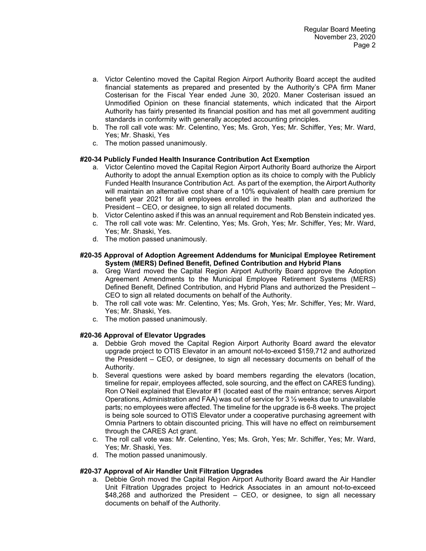- a. Victor Celentino moved the Capital Region Airport Authority Board accept the audited financial statements as prepared and presented by the Authority's CPA firm Maner Costerisan for the Fiscal Year ended June 30, 2020. Maner Costerisan issued an Unmodified Opinion on these financial statements, which indicated that the Airport Authority has fairly presented its financial position and has met all government auditing standards in conformity with generally accepted accounting principles.
- b. The roll call vote was: Mr. Celentino, Yes; Ms. Groh, Yes; Mr. Schiffer, Yes; Mr. Ward, Yes; Mr. Shaski, Yes
- c. The motion passed unanimously.

## **#20-34 Publicly Funded Health Insurance Contribution Act Exemption**

- a. Victor Celentino moved the Capital Region Airport Authority Board authorize the Airport Authority to adopt the annual Exemption option as its choice to comply with the Publicly Funded Health Insurance Contribution Act. As part of the exemption, the Airport Authority will maintain an alternative cost share of a 10% equivalent of health care premium for benefit year 2021 for all employees enrolled in the health plan and authorized the President – CEO, or designee, to sign all related documents.
- b. Victor Celentino asked if this was an annual requirement and Rob Benstein indicated yes.
- c. The roll call vote was: Mr. Celentino, Yes; Ms. Groh, Yes; Mr. Schiffer, Yes; Mr. Ward, Yes; Mr. Shaski, Yes.
- d. The motion passed unanimously.

#### **#20-35 Approval of Adoption Agreement Addendums for Municipal Employee Retirement System (MERS) Defined Benefit, Defined Contribution and Hybrid Plans**

- a. Greg Ward moved the Capital Region Airport Authority Board approve the Adoption Agreement Amendments to the Municipal Employee Retirement Systems (MERS) Defined Benefit, Defined Contribution, and Hybrid Plans and authorized the President – CEO to sign all related documents on behalf of the Authority.
- b. The roll call vote was: Mr. Celentino, Yes; Ms. Groh, Yes; Mr. Schiffer, Yes; Mr. Ward, Yes; Mr. Shaski, Yes.
- c. The motion passed unanimously.

## **#20-36 Approval of Elevator Upgrades**

- a. Debbie Groh moved the Capital Region Airport Authority Board award the elevator upgrade project to OTIS Elevator in an amount not-to-exceed \$159,712 and authorized the President – CEO, or designee, to sign all necessary documents on behalf of the Authority.
- b. Several questions were asked by board members regarding the elevators (location, timeline for repair, employees affected, sole sourcing, and the effect on CARES funding). Ron O'Neil explained that Elevator #1 (located east of the main entrance; serves Airport Operations, Administration and FAA) was out of service for 3 ½ weeks due to unavailable parts; no employees were affected. The timeline for the upgrade is 6-8 weeks. The project is being sole sourced to OTIS Elevator under a cooperative purchasing agreement with Omnia Partners to obtain discounted pricing. This will have no effect on reimbursement through the CARES Act grant.
- c. The roll call vote was: Mr. Celentino, Yes; Ms. Groh, Yes; Mr. Schiffer, Yes; Mr. Ward, Yes; Mr. Shaski, Yes.
- d. The motion passed unanimously.

## **#20-37 Approval of Air Handler Unit Filtration Upgrades**

a. Debbie Groh moved the Capital Region Airport Authority Board award the Air Handler Unit Filtration Upgrades project to Hedrick Associates in an amount not-to-exceed \$48,268 and authorized the President – CEO, or designee, to sign all necessary documents on behalf of the Authority.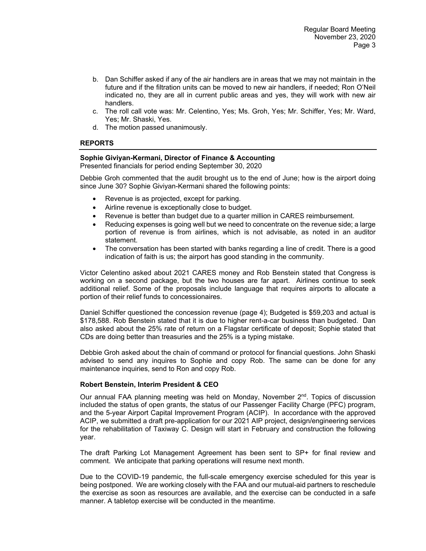- b. Dan Schiffer asked if any of the air handlers are in areas that we may not maintain in the future and if the filtration units can be moved to new air handlers, if needed; Ron O'Neil indicated no, they are all in current public areas and yes, they will work with new air handlers.
- c. The roll call vote was: Mr. Celentino, Yes; Ms. Groh, Yes; Mr. Schiffer, Yes; Mr. Ward, Yes; Mr. Shaski, Yes.
- d. The motion passed unanimously.

# **REPORTS**

## **Sophie Giviyan-Kermani, Director of Finance & Accounting**

Presented financials for period ending September 30, 2020

Debbie Groh commented that the audit brought us to the end of June; how is the airport doing since June 30? Sophie Giviyan-Kermani shared the following points:

- Revenue is as projected, except for parking.
- Airline revenue is exceptionally close to budget.
- Revenue is better than budget due to a quarter million in CARES reimbursement.
- Reducing expenses is going well but we need to concentrate on the revenue side; a large portion of revenue is from airlines, which is not advisable, as noted in an auditor statement.
- The conversation has been started with banks regarding a line of credit. There is a good indication of faith is us; the airport has good standing in the community.

Victor Celentino asked about 2021 CARES money and Rob Benstein stated that Congress is working on a second package, but the two houses are far apart. Airlines continue to seek additional relief. Some of the proposals include language that requires airports to allocate a portion of their relief funds to concessionaires.

Daniel Schiffer questioned the concession revenue (page 4); Budgeted is \$59,203 and actual is \$178,588. Rob Benstein stated that it is due to higher rent-a-car business than budgeted. Dan also asked about the 25% rate of return on a Flagstar certificate of deposit; Sophie stated that CDs are doing better than treasuries and the 25% is a typing mistake.

Debbie Groh asked about the chain of command or protocol for financial questions. John Shaski advised to send any inquires to Sophie and copy Rob. The same can be done for any maintenance inquiries, send to Ron and copy Rob.

# **Robert Benstein, Interim President & CEO**

Our annual FAA planning meeting was held on Monday, November  $2<sup>nd</sup>$ . Topics of discussion included the status of open grants, the status of our Passenger Facility Charge (PFC) program, and the 5-year Airport Capital Improvement Program (ACIP). In accordance with the approved ACIP, we submitted a draft pre-application for our 2021 AIP project, design/engineering services for the rehabilitation of Taxiway C. Design will start in February and construction the following year.

The draft Parking Lot Management Agreement has been sent to SP+ for final review and comment. We anticipate that parking operations will resume next month.

Due to the COVID-19 pandemic, the full-scale emergency exercise scheduled for this year is being postponed. We are working closely with the FAA and our mutual-aid partners to reschedule the exercise as soon as resources are available, and the exercise can be conducted in a safe manner. A tabletop exercise will be conducted in the meantime.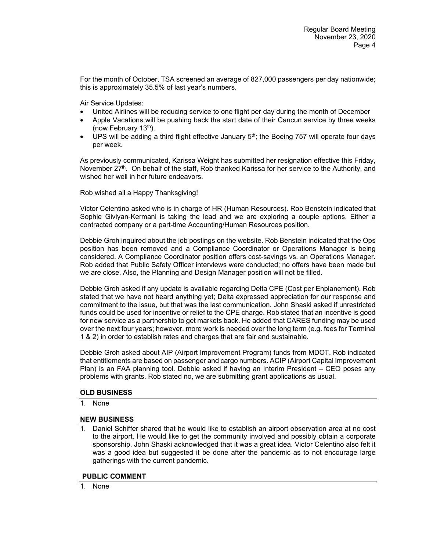For the month of October, TSA screened an average of 827,000 passengers per day nationwide; this is approximately 35.5% of last year's numbers.

Air Service Updates:

- United Airlines will be reducing service to one flight per day during the month of December
- Apple Vacations will be pushing back the start date of their Cancun service by three weeks (now February  $13<sup>th</sup>$ ).
- UPS will be adding a third flight effective January  $5<sup>th</sup>$ ; the Boeing 757 will operate four days per week.

As previously communicated, Karissa Weight has submitted her resignation effective this Friday, November 27<sup>th</sup>. On behalf of the staff, Rob thanked Karissa for her service to the Authority, and wished her well in her future endeavors.

Rob wished all a Happy Thanksgiving!

Victor Celentino asked who is in charge of HR (Human Resources). Rob Benstein indicated that Sophie Giviyan-Kermani is taking the lead and we are exploring a couple options. Either a contracted company or a part-time Accounting/Human Resources position.

Debbie Groh inquired about the job postings on the website. Rob Benstein indicated that the Ops position has been removed and a Compliance Coordinator or Operations Manager is being considered. A Compliance Coordinator position offers cost-savings vs. an Operations Manager. Rob added that Public Safety Officer interviews were conducted; no offers have been made but we are close. Also, the Planning and Design Manager position will not be filled.

Debbie Groh asked if any update is available regarding Delta CPE (Cost per Enplanement). Rob stated that we have not heard anything yet; Delta expressed appreciation for our response and commitment to the issue, but that was the last communication. John Shaski asked if unrestricted funds could be used for incentive or relief to the CPE charge. Rob stated that an incentive is good for new service as a partnership to get markets back. He added that CARES funding may be used over the next four years; however, more work is needed over the long term (e.g. fees for Terminal 1 & 2) in order to establish rates and charges that are fair and sustainable.

Debbie Groh asked about AIP (Airport Improvement Program) funds from MDOT. Rob indicated that entitlements are based on passenger and cargo numbers. ACIP (Airport Capital Improvement Plan) is an FAA planning tool. Debbie asked if having an Interim President – CEO poses any problems with grants. Rob stated no, we are submitting grant applications as usual.

# **OLD BUSINESS**

1. None

## **NEW BUSINESS**

1. Daniel Schiffer shared that he would like to establish an airport observation area at no cost to the airport. He would like to get the community involved and possibly obtain a corporate sponsorship. John Shaski acknowledged that it was a great idea. Victor Celentino also felt it was a good idea but suggested it be done after the pandemic as to not encourage large gatherings with the current pandemic.

## **PUBLIC COMMENT**

1. None